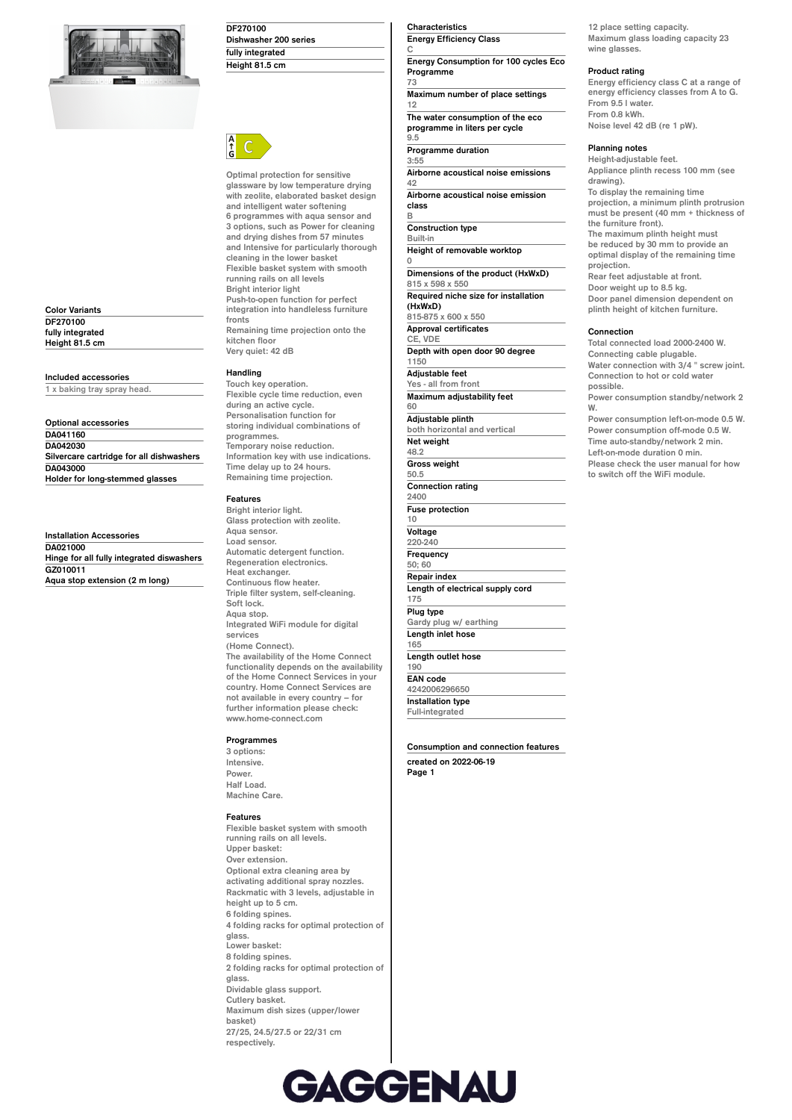

**Color Variants DF270100 fully integrated Height 81.5 cm**

#### **Included accessories**

**1 x baking tray spray head.**

**Optional accessories DA041160 DA042030 Silvercare cartridge for all dishwashers DA043000 Holder for long-stemmed glasses**

**Installation Accessories DA021000 Hinge for all fully integrated diswashers GZ010011 Aqua stop extension (2 m long)**

### **DF270100 Dishwasher 200 series fully integrated Height 81.5 cm**



**Optimal protection for sensitive glassware by low temperature drying with zeolite, elaborated basket design and intelligent water softening 6 programmes with aqua sensor and 3 options, such as Power for cleaning and drying dishes from 57 minutes and Intensive for particularly thorough cleaning in the lower basket Flexible basket system with smooth running rails on all levels Bright interior light Push-to-open function for perfect integration into handleless furniture fronts Remaining time projection onto the kitchen floor Very quiet: 42 dB**

# **Handling**

**Touch key operation. Flexible cycle time reduction, even during an active cycle. Personalisation function for storing individual combinations of programmes. Temporary noise reduction. Information key with use indications. Time delay up to 24 hours. Remaining time projection.**

### **Features**

**Bright interior light. Glass protection with zeolite. Aqua sensor. Load sensor. Automatic detergent function. Regeneration electronics. Heat exchanger. Continuous flow heater. Triple filter system, self-cleaning. Soft lock. Aqua stop. Integrated WiFi module for digital services (Home Connect). The availability of the Home Connect functionality depends on the availability of the Home Connect Services in your country. Home Connect Services are not available in every country – for further information please check: www.home-connect.com**

#### **Programmes**

**3 options: Intensive. Power. Half Load. Machine Care.**

#### **Features**

**Flexible basket system with smooth running rails on all levels. Upper basket: Over extension. Optional extra cleaning area by activating additional spray nozzles. Rackmatic with 3 levels, adjustable in height up to 5 cm. 6 folding spines. 4 folding racks for optimal protection of glass. Lower basket: 8 folding spines. 2 folding racks for optimal protection of glass. Dividable glass support. Cutlery basket. Maximum dish sizes (upper/lower basket) 27/25, 24.5/27.5 or 22/31 cm respectively.**

#### **Characteristics Energy Efficiency Class**

**C Energy Consumption for 100 cycles Eco Programme 73**

**Maximum number of place settings 12 The water consumption of the eco**

**programme in liters per cycle 9.5**

**Programme duration 3:55**

**0**

**Airborne acoustical noise emissions 42**

**Airborne acoustical noise emission class B**

**Construction type Built-in Height of removable worktop Dimensions of the product (HxWxD) 815 x 598 x 550 Required niche size for installation (HxWxD) 815-875 x 600 x 550 Approval certificates CE, VDE**

**Depth with open door 90 degree 1150 Adjustable feet Yes - all from front Maximum adjustability feet 60 Adjustable plinth both horizontal and vertical Net weight 48.2 Gross weight 50.5 Connection rating 2400 Fuse protection 10 Voltage**

**220-240 Frequency 50; 60 Repair index Length of electrical supply cord 175 Plug type Gardy plug w/ earthing**

**Length inlet hose 165 Length outlet hose 190 EAN code**

**4242006296650 Installation type Full-integrated**

**Consumption and connection features created on 2022-06-19 Page 1**

**12 place setting capacity. Maximum glass loading capacity 23 wine glasses.**

## **Product rating**

**Energy efficiency class C at a range of energy efficiency classes from A to G. From 9.5 l water. From 0.8 kWh. Noise level 42 dB (re 1 pW).**

# **Planning notes**

**Height-adjustable feet. Appliance plinth recess 100 mm (see drawing). To display the remaining time projection, a minimum plinth protrusion must be present (40 mm + thickness of the furniture front). The maximum plinth height must be reduced by 30 mm to provide an optimal display of the remaining time projection. Rear feet adjustable at front. Door weight up to 8.5 kg. Door panel dimension dependent on plinth height of kitchen furniture. Connection Total connected load 2000-2400 W.**

**Connecting cable plugable. Water connection with 3/4 " screw joint. Connection to hot or cold water possible. Power consumption standby/network 2 W. Power consumption left-on-mode 0.5 W. Power consumption off-mode 0.5 W. Time auto-standby/network 2 min. Left-on-mode duration 0 min. Please check the user manual for how to switch off the WiFi module.**